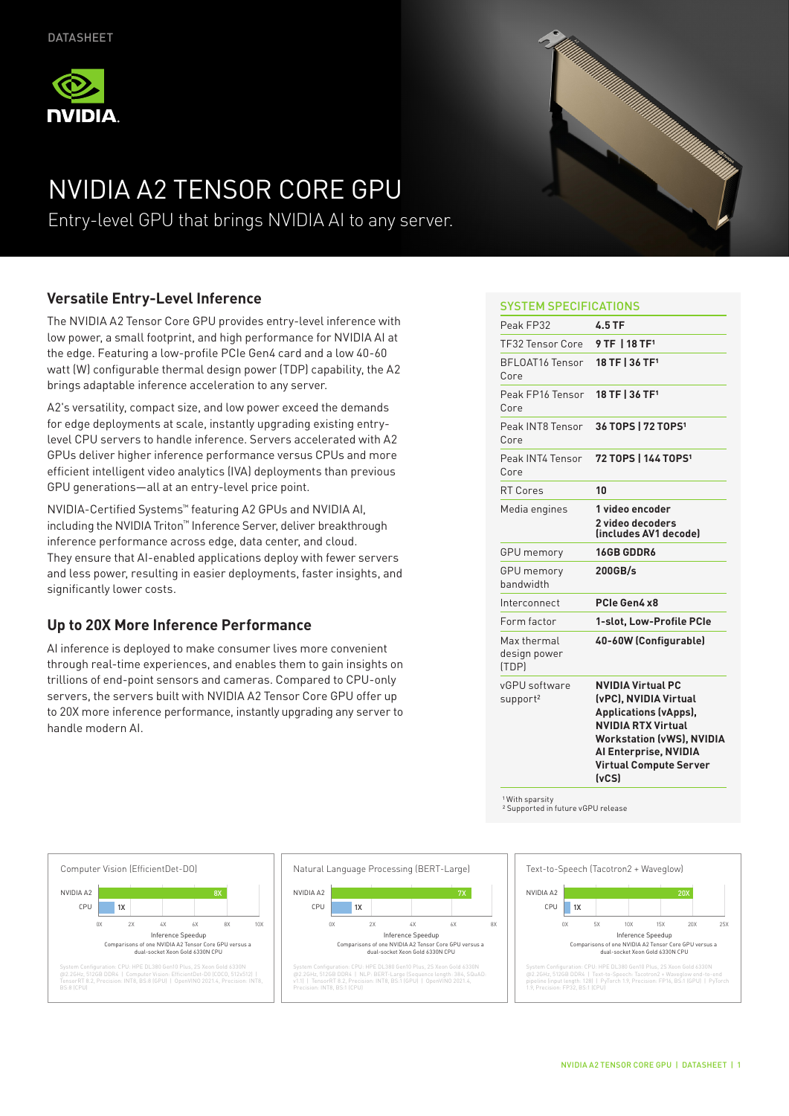

# NVIDIA A2 TENSOR CORE GPU

Entry-level GPU that brings NVIDIA AI to any server.

## **Versatile Entry-Level Inference**

The NVIDIA A2 Tensor Core GPU provides entry-level inference with low power, a small footprint, and high performance for NVIDIA AI at the edge. Featuring a low-profile PCIe Gen4 card and a low 40-60 watt (W) configurable thermal design power (TDP) capability, the A2 brings adaptable inference acceleration to any server.

A2's versatility, compact size, and low power exceed the demands for edge deployments at scale, instantly upgrading existing entrylevel CPU servers to handle inference. Servers accelerated with A2 GPUs deliver higher inference performance versus CPUs and more efficient intelligent video analytics (IVA) deployments than previous GPU generations—all at an entry-level price point.

NVIDIA-Certified Systems™ featuring A2 GPUs and NVIDIA AI, including the NVIDIA Triton™ Inference Server, deliver breakthrough inference performance across edge, data center, and cloud. They ensure that AI-enabled applications deploy with fewer servers and less power, resulting in easier deployments, faster insights, and significantly lower costs.

## **Up to 20X More Inference Performance**

AI inference is deployed to make consumer lives more convenient through real-time experiences, and enables them to gain insights on trillions of end-point sensors and cameras. Compared to CPU-only servers, the servers built with NVIDIA A2 Tensor Core GPU offer up to 20X more inference performance, instantly upgrading any server to handle modern AI.



### SYSTEM SPECIFICATIONS

| Peak FP32                             | $4.5$ TF                                                                                                                                                                                                              |
|---------------------------------------|-----------------------------------------------------------------------------------------------------------------------------------------------------------------------------------------------------------------------|
| TF32 Tensor Core                      | 9 TF 1 18 TF <sup>1</sup>                                                                                                                                                                                             |
| <b>BFLOAT16 Tensor</b><br>Core        | 18 TF   36 TF <sup>1</sup>                                                                                                                                                                                            |
| Peak FP16 Tensor<br>Core              | 18 TF   36 TF <sup>1</sup>                                                                                                                                                                                            |
| Peak INT8 Tensor<br>Core              | 36 TOPS   72 TOPS <sup>1</sup>                                                                                                                                                                                        |
| Peak INT4 Tensor<br>Core              | 72 TOPS   144 TOPS <sup>1</sup>                                                                                                                                                                                       |
| <b>RT Cores</b>                       | 10                                                                                                                                                                                                                    |
| Media engines                         | 1 video encoder<br>2 video decoders<br>lincludes AV1 decodel                                                                                                                                                          |
| <b>GPU</b> memory                     | 16GB GDDR6                                                                                                                                                                                                            |
| <b>GPU</b> memory<br>handwidth        | 200GB/s                                                                                                                                                                                                               |
| Interconnect                          | PCIe Gen4 x8                                                                                                                                                                                                          |
| Form factor                           | 1-slot, Low-Profile PCIe                                                                                                                                                                                              |
| Max thermal<br>design power<br>(TDP)  | 40-60W (Configurable)                                                                                                                                                                                                 |
| vGPU software<br>support <sup>2</sup> | <b>NVIDIA Virtual PC</b><br>(vPC), NVIDIA Virtual<br><b>Applications (vApps),</b><br><b>NVIDIA RTX Virtual</b><br><b>Workstation (vWS), NVIDIA</b><br>Al Enterprise, NVIDIA<br><b>Virtual Compute Server</b><br>(vCS) |

<sup>1</sup> With sparsity<br><sup>2</sup> Supported in future vGPU release





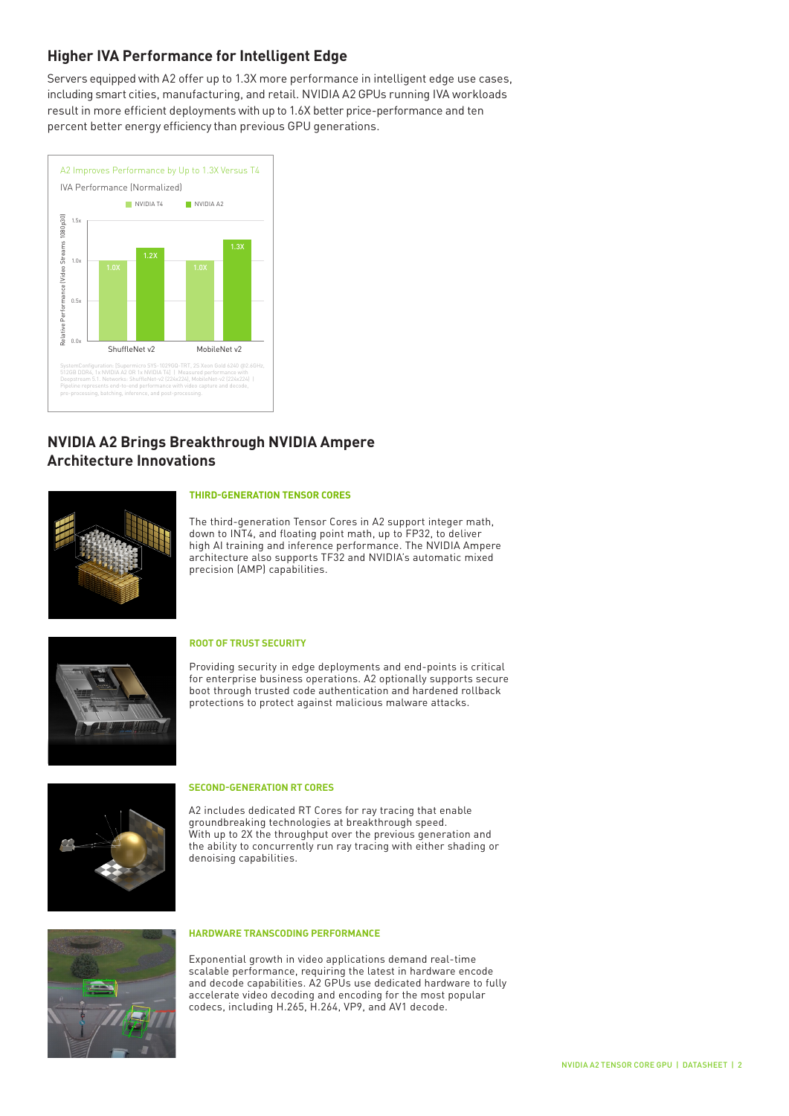## **Higher IVA Performance for Intelligent Edge**

Servers equipped with A2 offer up to 1.3X more performance in intelligent edge use cases, including smart cities, manufacturing, and retail. NVIDIA A2 GPUs running IVA workloads result in more efficient deployments with up to 1.6X better price-performance and ten percent better energy efficiency than previous GPU generations.



# **NVIDIA A2 Brings Breakthrough NVIDIA Ampere Architecture Innovations**



#### **THIRD-GENERATION TENSOR CORES**

The third-generation Tensor Cores in A2 support integer math, down to INT4, and floating point math, up to FP32, to deliver high AI training and inference performance. The NVIDIA Ampere architecture also supports TF32 and NVIDIA's automatic mixed precision (AMP) capabilities.



#### **ROOT OF TRUST SECURITY**

Providing security in edge deployments and end-points is critical for enterprise business operations. A2 optionally supports secure boot through trusted code authentication and hardened rollback protections to protect against malicious malware attacks.



#### **SECOND-GENERATION RT CORES**

A2 includes dedicated RT Cores for ray tracing that enable groundbreaking technologies at breakthrough speed. With up to 2X the throughput over the previous generation and the ability to concurrently run ray tracing with either shading or denoising capabilities.



#### **HARDWARE TRANSCODING PERFORMANCE**

Exponential growth in video applications demand real-time scalable performance, requiring the latest in hardware encode and decode capabilities. A2 GPUs use dedicated hardware to fully accelerate video decoding and encoding for the most popular codecs, including H.265, H.264, VP9, and AV1 decode.